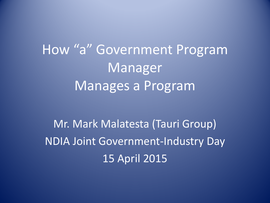How "a" Government Program Manager Manages a Program

Mr. Mark Malatesta (Tauri Group) NDIA Joint Government-Industry Day 15 April 2015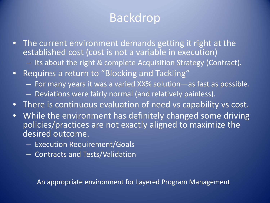## Backdrop

- The current environment demands getting it right at the established cost (cost is not a variable in execution)
	- Its about the right & complete Acquisition Strategy (Contract).
- Requires a return to "Blocking and Tackling"
	- For many years it was a varied XX% solution—as fast as possible.
	- Deviations were fairly normal (and relatively painless).
- There is continuous evaluation of need vs capability vs cost.
- While the environment has definitely changed some driving policies/practices are not exactly aligned to maximize the desired outcome.
	- Execution Requirement/Goals
	- Contracts and Tests/Validation

An appropriate environment for Layered Program Management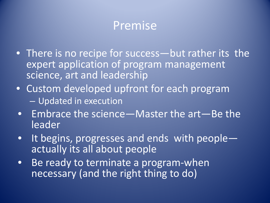### Premise

- There is no recipe for success—but rather its the expert application of program management science, art and leadership
- Custom developed upfront for each program – Updated in execution
- Embrace the science—Master the art—Be the leader
- It begins, progresses and ends with people— actually its all about people
- Be ready to terminate a program-when necessary (and the right thing to do)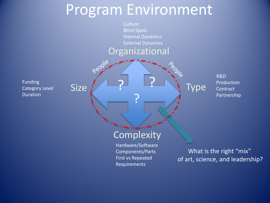## Program Environment

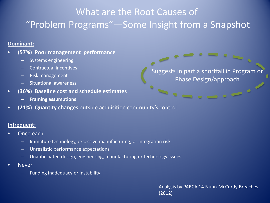#### What are the Root Causes of "Problem Programs"—Some Insight from a Snapshot

 $\frac{1}{\sqrt{2}}\left(\frac{1}{\sqrt{2}}\right)^{1/2}$ 

#### **Dominant:**

- **(57%) Poor management performance**
	- Systems engineering
	- Contractual incentives
	- Risk management
	- Situational awareness
- **(36%) Baseline cost and schedule estimates**
	- **Framing assumptions**
- **(21%) Quantity changes** outside acquisition community's control

#### **Infrequent:**

- Once each
	- Immature technology, excessive manufacturing, or integration risk
	- Unrealistic performance expectations
	- Unanticipated design, engineering, manufacturing or technology issues.
- **Never** 
	- Funding inadequacy or instability

Analysis by PARCA 14 Nunn-McCurdy Breaches (2012)

Suggests in part a shortfall in Program or Phase Design/approach

 $\blacksquare$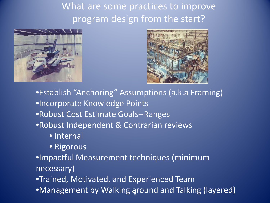What are some practices to improve program design from the start?





•Establish "Anchoring" Assumptions (a.k.a Framing) •Incorporate Knowledge Points •Robust Cost Estimate Goals--Ranges •Robust Independent & Contrarian reviews

- Internal
- Rigorous

•Impactful Measurement techniques (minimum necessary)

•Trained, Motivated, and Experienced Team

6 •Management by Walking around and Talking (layered)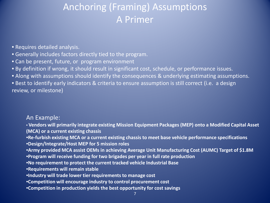#### Anchoring (Framing) Assumptions A Primer

- Requires detailed analysis.
- Generally includes factors directly tied to the program.
- Can be present, future, or program environment
- By definition if wrong, it should result in significant cost, schedule, or performance issues.
- Along with assumptions should identify the consequences & underlying estimating assumptions.

• Best to identify early indicators & criteria to ensure assumption is still correct (i.e. a design review, or milestone)

#### An Example:

- **Vendors will primarily integrate existing Mission Equipment Packages (MEP) onto a Modified Capital Asset (MCA) or a current existing chassis**
- •**Re-furbish existing MCA or a current existing chassis to meet base vehicle performance specifications**
- •**Design/Integrate/Host MEP for 5 mission roles**
- •**Army provided MCA assist OEMs in achieving Average Unit Manufacturing Cost (AUMC) Target of \$1.8M**
- •**Program will receive funding for two brigades per year in full rate production**
- •**No requirement to protect the current tracked vehicle Industrial Base**
- •**Requirements will remain stable**
- •**Industry will trade lower tier requirements to manage cost**
- •**Competition will encourage industry to control procurement cost**
- •**Competition in production yields the best opportunity for cost savings**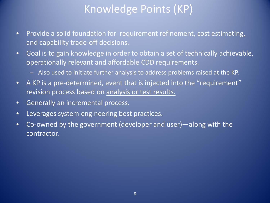### Knowledge Points (KP)

- Provide a solid foundation for requirement refinement, cost estimating, and capability trade-off decisions.
- Goal is to gain knowledge in order to obtain a set of technically achievable, operationally relevant and affordable CDD requirements.
	- Also used to initiate further analysis to address problems raised at the KP.
- A KP is a pre-determined, event that is injected into the "requirement" revision process based on analysis or test results.
- Generally an incremental process.
- Leverages system engineering best practices.
- Co-owned by the government (developer and user)—along with the contractor.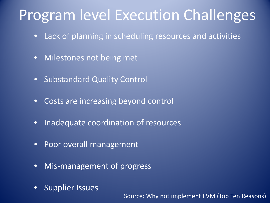## Program level Execution Challenges

- Lack of planning in scheduling resources and activities
- Milestones not being met
- Substandard Quality Control
- Costs are increasing beyond control
- Inadequate coordination of resources
- Poor overall management
- Mis-management of progress
- Supplier Issues

Source: Why not implement EVM (Top Ten Reasons)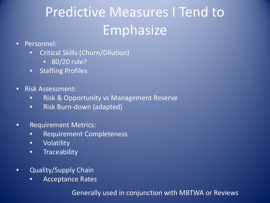# Predictive Measures I Tend to Emphasize

- Personnel:
	- Critical Skills (Churn/Dilution)
		- 80/20 rule?
	- Staffing Profiles
- Risk Assessment:
	- Risk & Opportunity vs Management Reserve
	- Risk Burn-down (adapted)
- Requirement Metrics:
	- Requirement Completeness
	- Volatility
	- **•** Traceability
- Quality/Supply Chain
	- Acceptance Rates

Generally used in conjunction with MBTWA or Reviews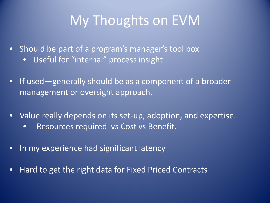## My Thoughts on EVM

- Should be part of a program's manager's tool box
	- Useful for "internal" process insight.
- If used—generally should be as a component of a broader management or oversight approach.
- Value really depends on its set-up, adoption, and expertise.
	- Resources required vs Cost vs Benefit.
- In my experience had significant latency
- Hard to get the right data for Fixed Priced Contracts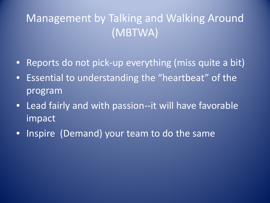### Management by Talking and Walking Around (MBTWA)

- Reports do not pick-up everything (miss quite a bit)
- Essential to understanding the "heartbeat" of the program
- Lead fairly and with passion--it will have favorable impact
- Inspire (Demand) your team to do the same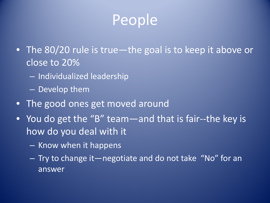# People

- The 80/20 rule is true—the goal is to keep it above or close to 20%
	- Individualized leadership
	- Develop them
- The good ones get moved around
- You do get the "B" team—and that is fair--the key is how do you deal with it
	- Know when it happens
	- Try to change it—negotiate and do not take "No" for an answer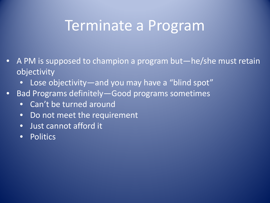## Terminate a Program

- A PM is supposed to champion a program but—he/she must retain objectivity
	- Lose objectivity—and you may have a "blind spot"
- Bad Programs definitely—Good programs sometimes
	- Can't be turned around
	- Do not meet the requirement
	- Just cannot afford it
	- Politics